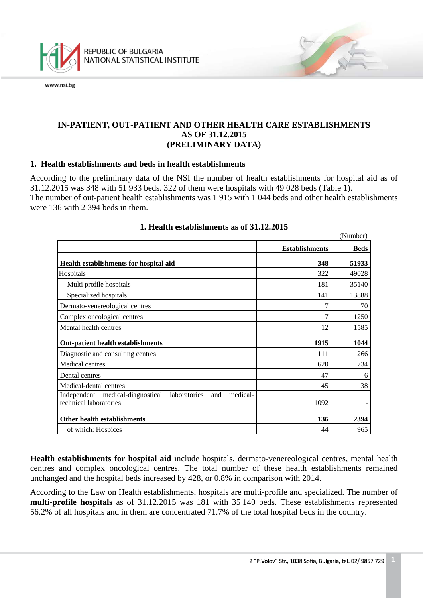

## **IN-PATIENT, OUT-PATIENT AND OTHER HEALTH CARE ESTABLISHMENTS AS OF 31.12.2015 (PRELIMINARY DATA)**

## **1. Health establishments and beds in health establishments**

According to the preliminary data of the NSI the number of health establishments for hospital aid as of 31.12.2015 was 348 with 51 933 beds. 322 of them were hospitals with 49 028 beds (Table 1). The number of out-patient health establishments was 1 915 with 1 044 beds and other health establishments were 136 with 2 394 beds in them.

|                                                                                               |                       | (Number)    |
|-----------------------------------------------------------------------------------------------|-----------------------|-------------|
|                                                                                               | <b>Establishments</b> | <b>Beds</b> |
| Health establishments for hospital aid                                                        | 348                   | 51933       |
| Hospitals                                                                                     | 322                   | 49028       |
| Multi profile hospitals                                                                       | 181                   | 35140       |
| Specialized hospitals                                                                         | 141                   | 13888       |
| Dermato-venereological centres                                                                | 7                     | 70          |
| Complex oncological centres                                                                   | 7                     | 1250        |
| Mental health centres                                                                         | 12                    | 1585        |
| <b>Out-patient health establishments</b>                                                      | 1915                  | 1044        |
| Diagnostic and consulting centres                                                             | 111                   | 266         |
| Medical centres                                                                               | 620                   | 734         |
| Dental centres                                                                                | 47                    | 6           |
| Medical-dental centres                                                                        | 45                    | 38          |
| medical-<br>Independent medical-diagnostical<br>laboratories<br>and<br>technical laboratories | 1092                  |             |
| Other health establishments                                                                   | 136                   | 2394        |
| of which: Hospices                                                                            | 44                    | 965         |

## **1. Health establishments as of 31.12.2015**

**Health establishments for hospital aid** include hospitals, dermato-venereological centres, mental health centres and complex oncological centres. The total number of these health establishments remained unchanged and the hospital beds increased by 428, or 0.8% in comparison with 2014.

<span id="page-0-0"></span>According to the Law on Health establishments, hospitals are multi-profile and specialized. The number of **multi-profile hospitals** as of 31.12.2015 was 181 with 35 140 beds. These establishments represented 56.2% of all hospitals and in them are concentrated 71.7% of the total hospital beds in the country.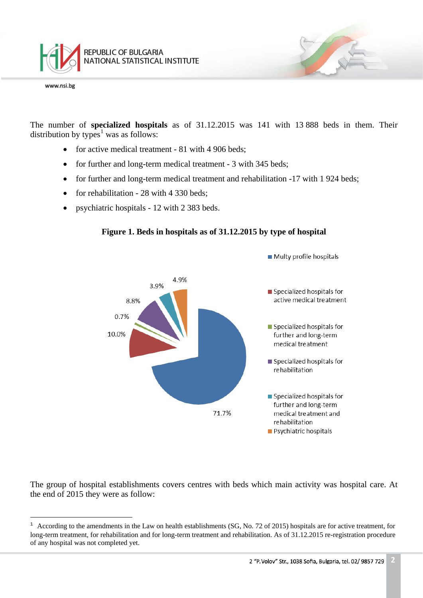

The number of **specialized hospitals** as of 31.12.2015 was 141 with 13 888 beds in them. Their distribution by types<sup>[1](#page-0-0)</sup> was as follows:

- for active medical treatment 81 with 4 906 beds;
- for further and long-term medical treatment 3 with 345 beds;
- for further and long-term medical treatment and rehabilitation -17 with 1 924 beds;
- for rehabilitation  $28$  with 4 330 beds:
- psychiatric hospitals 12 with 2 383 beds.



## **Figure 1. Beds in hospitals as of 31.12.2015 by type of hospital**

The group of hospital establishments covers centres with beds which main activity was hospital care. At the end of 2015 they were as follow:

ī  $1$  According to the amendments in the Law on health establishments (SG, No. 72 of 2015) hospitals are for active treatment, for long-term treatment, for rehabilitation and for long-term treatment and rehabilitation. As of 31.12.2015 re-registration procedure of any hospital was not completed yet.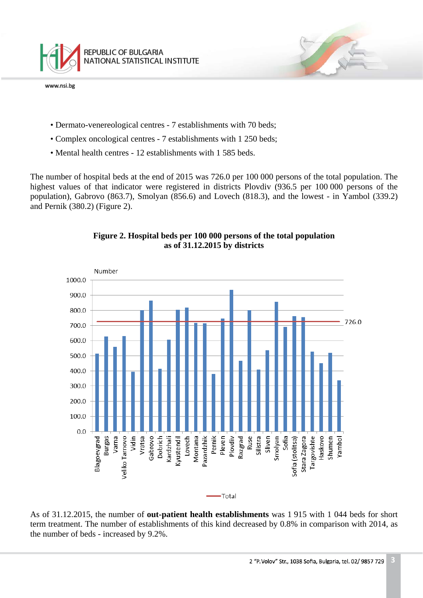

- Dermato-venereological centres 7 establishments with 70 beds;
- Complex oncological centres 7 establishments with 1 250 beds;
- Mental health centres 12 establishments with 1 585 beds.

The number of hospital beds at the end of 2015 was 726.0 per 100 000 persons of the total population. The highest values of that indicator were registered in districts Plovdiv (936.5 per 100 000 persons of the population), Gabrovo (863.7), Smolyan (856.6) and Lovech (818.3), and the lowest - in Yambol (339.2) and Pernik (380.2) (Figure 2).



**Figure 2. Hospital beds per 100 000 persons of the total population as of 31.12.2015 by districts**

As of 31.12.2015, the number of **out-patient health establishments** was 1 915 with 1 044 beds for short term treatment. The number of establishments of this kind decreased by 0.8% in comparison with 2014, as the number of beds - increased by 9.2%.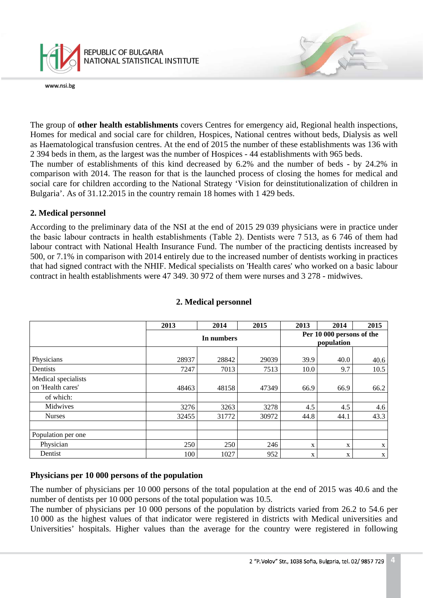

The group of **other health establishments** covers Centres for emergency aid, Regional health inspections, Homes for medical and social care for children, Hospices, National centres without beds, Dialysis as well as Haematological transfusion centres. At the end of 2015 the number of these establishments was 136 with 2 394 beds in them, as the largest was the number of Hospices - 44 establishments with 965 beds.

The number of establishments of this kind decreased by 6.2% and the number of beds - by 24.2% in comparison with 2014. The reason for that is the launched process of closing the homes for medical and social care for children according to the National Strategy 'Vision for deinstitutionalization of children in Bulgaria'. As of 31.12.2015 in the country remain 18 homes with 1 429 beds.

## **2. Medical personnel**

According to the preliminary data of the NSI at the end of 2015 29 039 physicians were in practice under the basic labour contracts in health establishments (Таble 2). Dentists were 7 513, as 6 746 of them had labour contract with National Health Insurance Fund. The number of the practicing dentists increased by 500, or 7.1% in comparison with 2014 entirely due to the increased number of dentists working in practices that had signed contract with the NHIF. Medical specialists on 'Health cares' who worked on a basic labour contract in health establishments were 47 349. 30 972 of them were nurses and 3 278 - midwives.

|                                                       | 2013  | 2014       | 2015  | 2013 | 2014                                    | 2015        |  |
|-------------------------------------------------------|-------|------------|-------|------|-----------------------------------------|-------------|--|
|                                                       |       | In numbers |       |      | Per 10 000 persons of the<br>population |             |  |
| Physicians                                            | 28937 | 28842      | 29039 | 39.9 | 40.0                                    | 40.6        |  |
| Dentists                                              | 7247  | 7013       | 7513  | 10.0 | 9.7                                     | 10.5        |  |
| Medical specialists<br>on 'Health cares'<br>of which: | 48463 | 48158      | 47349 | 66.9 | 66.9                                    | 66.2        |  |
| Midwives                                              | 3276  | 3263       | 3278  | 4.5  | 4.5                                     | 4.6         |  |
| <b>Nurses</b>                                         | 32455 | 31772      | 30972 | 44.8 | 44.1                                    | 43.3        |  |
|                                                       |       |            |       |      |                                         |             |  |
| Population per one                                    |       |            |       |      |                                         |             |  |
| Physician                                             | 250   | 250        | 246   | X    | X                                       | X           |  |
| Dentist                                               | 100   | 1027       | 952   | X    | X                                       | $\mathbf X$ |  |

## **2. Medical personnel**

## **Physicians per 10 000 persons of the population**

The number of physicians per 10 000 persons of the total population at the end of 2015 was 40.6 and the number of dentists per 10 000 persons of the total population was 10.5.

The number of physicians per 10 000 persons of the population by districts varied from 26.2 to 54.6 per 10 000 as the highest values of that indicator were registered in districts with Medical universities and Universities' hospitals. Higher values than the average for the country were registered in following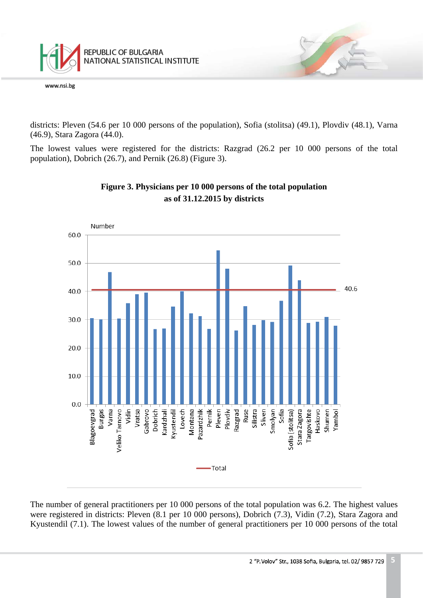

districts: Pleven (54.6 per 10 000 persons of the population), Sofia (stolitsa) (49.1), Plovdiv (48.1), Varna (46.9), Stara Zagora (44.0).

The lowest values were registered for the districts: Razgrad (26.2 per 10 000 persons of the total population), Dobrich (26.7), and Pernik (26.8) (Figure 3).



# **Figure 3. Physicians per 10 000 persons of the total population as of 31.12.2015 by districts**

The number of general practitioners per 10 000 persons of the total population was 6.2. The highest values were registered in districts: Pleven (8.1 per 10 000 persons), Dobrich (7.3), Vidin (7.2), Stara Zagora and Kyustendil (7.1). The lowest values of the number of general practitioners per 10 000 persons of the total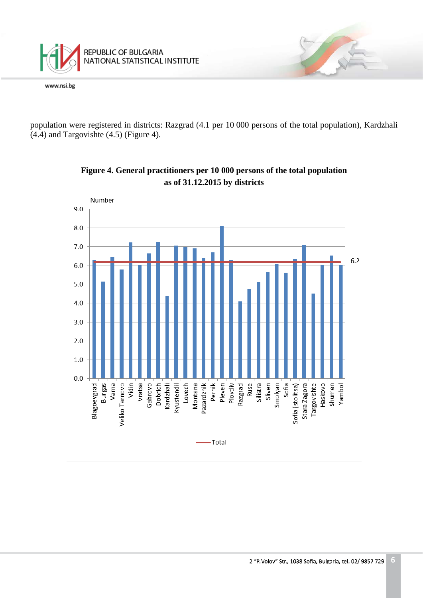

population were registered in districts: Razgrad (4.1 per 10 000 persons of the total population), Kardzhali (4.4) and Targovishte (4.5) (Figure 4).